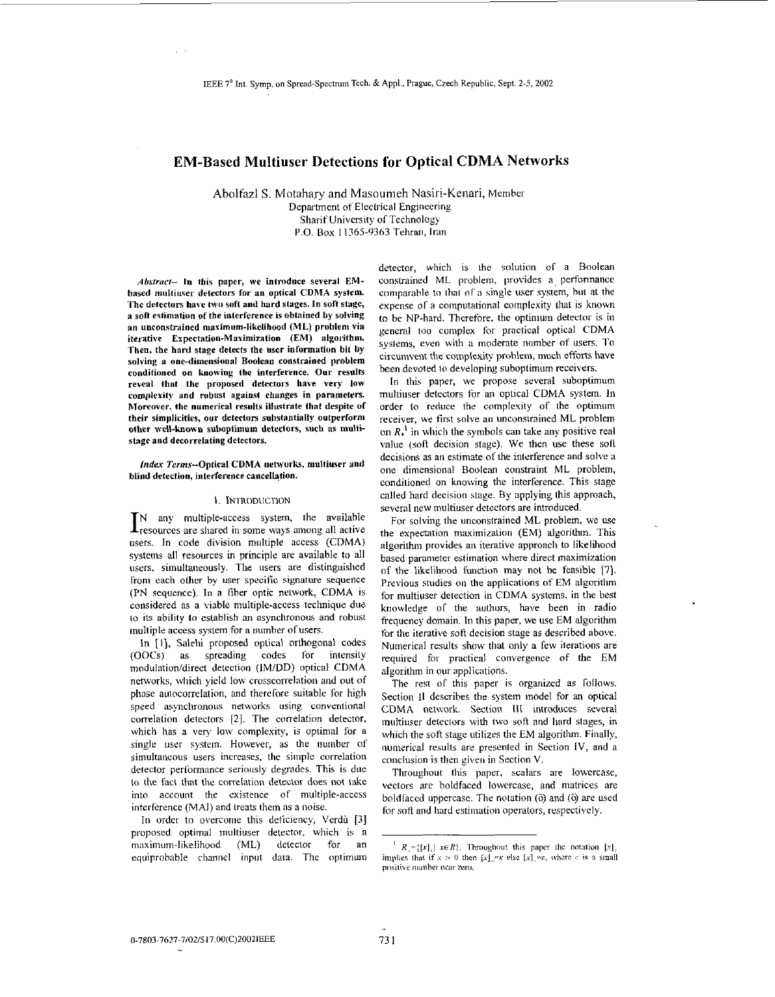# **EM-Based Multiuser Detections for Optical CDMA Networks**

Abolfazl S. Motahary and Masoumeh Nasiri-Kenari, Member Department of Electrical Engineering Sharif University *of* Technology P.O. Box 11365-9363 Tehran, Iran

*Abrrracl-* 10 **this paper, we introdace several EMbnsed multiuser detectors for an optical CDMA system.**  The detectors have two soft and hard stages. In soft stage, **n son eslimation of the interference is oblaiued by solving an unconstrained maximum-likelihood (ML) problenl via iterative Expectation-Maximization (EM) algorithm. Then, the hard stage detects the user inlormatien bit** by **solving a one-dimensional Boolean constrained problem conditioned on knowing the interference, Our resulb**  reveal that the proposed detectors have very low complexity and robust against changes in parameters. **Moreover. the numerical results illustrate that despite of their simplicities, our detecton subsbantially oufperfornl other ~vdl-hown suboptimum detectors, such as mnltistage and decorrelating detectors.** 

#### *index* **Terms-Optical CDMA nctn'orls, multiuser and blind detection, interference cancellation.**

#### 1. INTRODUCTION

IN any multiple-access system, the available resources are shared in some ways among all active users. In code division multiple access (CDMA) systems all resources in principle are availahle to all users. simultaneously. The users are distinguished lirom each other by user specific signature sequence (PN sequence). In **a** fiher optic network, CDMA is considered as a viable multiple-access technique due to its ability to establish an asynchronous and robust multiple access system for a number of users.

In [1], Salehi proposed optical orthogonal codes (OOCs) as spreading codes ror intensity modulation/direct detection (IM/DD) optical CDMA networks, which yield low crosscorrelation and out of phase autocorrelation, and therelore suitable for high sperd asynchronous networks using conventional correlation detectors [2]. The correlation detector, which has **a** very low complexity, is optimal for a single user system. However, as the number of simultaneous users increases, the simple correlation detector perlormance seriously degades. This is due to the lact that the correlation detector does not take into account the cxistence of multiple-access interlerence (MAI) and treats them as a noise.

In order to overcome this deficiency, Verdù [3] proposed optimal multiuser detector. which is **a**  maximum-likelihood (ML) detector for an cqiriprohable channel **input** dala. The optimum detector, which is the solution of a Boolean constrained ML prohleni, provides **a,** perfonnance comparahle to that ol'a single user system, hul at the expense of a computational complexity that is known **to** he NP-hard. Therefore, the optimum detector is in general too complex for practical optical CDMA systems, even with a moderate number of users. To circumvent the complexity problem, much efforts have been devoted *to* developing suhoplimum receivers.

In this paper, we propose several suboptimum multiuser detectors for an optical CDMA system. In order to reduce the complexity of the optimum receiver, we first solve an unconstrained ML problem on  $R_{+}^1$  in which the symbols can take any positive real value (soli decision stage). We then use these soli decisions as an estimate of the interference and solve a one dimensional Boolean constraint ML problem, conditioned on knowing the interference. This stage called hard decision stage. By applying Ihis approach, several new multiuser detectors are introduced.

For solving the unconstrained ML problem, we use the expectation maximization (EM) algorithm. This algorithm provides an iterative approach to likelihood based parameter estimation where direct maximization or the likelihood function **inay** not he feasible 17). Previous studies on the applications of EM algorithm for multiuser detection in CDMA systems. in the best knowledge of the authors, have been in radio frequency domain. In this paper, we use EM algorithm for the iterative soft decision stage as described above. Numerical results show that only a few iterations are required for practical convergence of the EM algorithm in our applications.

The rest of this paper is organized as follows. Section II describes the system model for **an** optical CDMA network. Section 111 introduces several inultiuser deteclors with two soft and hard stages, in which the soft stage utilizes the EM algorithm. Finally, numerical results are presented in Section IV, and a conclusion is then given in Section V.

Throughout this paper, scalars are lowercase, vectors are holdfaced lowercase, and matrices are boldfaced uppercase. The notation ( $\delta$ ) and *(* $\delta$ *)* are used for soft and hard estimation operators, respectively.

 $R_i = \{ [x]_i | x \in R \}$ . Throughout this paper the notation  $[x]_i$ . implies that if  $x > 0$  then  $[x]$  or else  $[x]$ , we, where c is a small positive number near zero.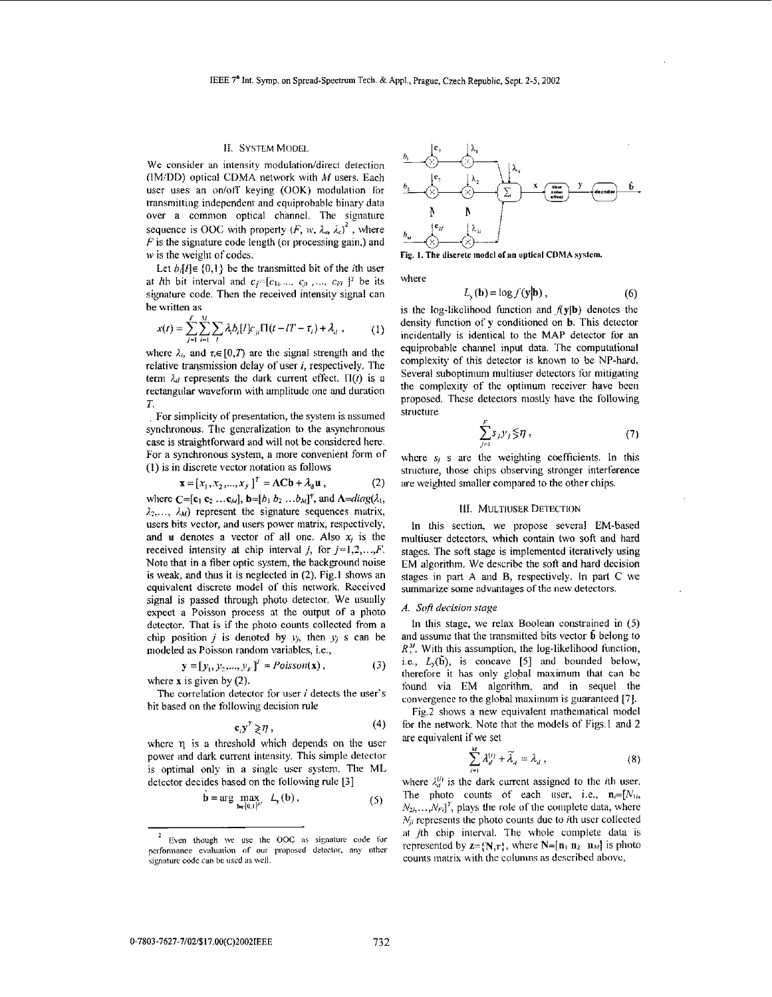## 11. SYSTEM **MODEL**

We consider an intensity modulation/direct detection (IM/DD) optical CDMA network with *M* users. Each user uses an on/off keying  $(OOK)$  modulation for transmitting independent and equiprobable binary data over **a** common optical channel. The signature sequence is OOC with property  $(F, w, \lambda_{\alpha}, \lambda_{\alpha})^2$ , where  $F$  is the signature code length (or processing gain,) and *w* is the weight of codes.

Let  $b$ <sub>i</sub> $l$ ] $\in$  {0,1} be the transmitted bit of the *i*th user at *l*th bit interval and  $c_i=[c_1,..., c_n,..., c_{i'}]$ <sup>*T*</sup> be its signature code. Then the received intensity signal can he written as

$$
x(t) = \sum_{j=1}^{F} \sum_{i=1}^{M} \sum_{l} \lambda_{i} b_{i}[l] c_{ji} \Pi(t - lT - \tau_{i}) + \lambda_{d} , \qquad (1)
$$

where  $\lambda_i$ , and  $\tau_i \in [0, T)$  are the signal strength and the relative transmission delay of user *i*, respectively. The term  $\lambda_d$  represents the dark current effect.  $\Pi(t)$  is a rectangular waveform with amplitude one and duration *T.* 

For simplicity of presentation, the system is assumed synchronous. The generalization to the asynchronous case is straightforward and will not be considered here. For a synchronous system, **a** more convenient form of (I) is in discrete vector notation as follows

$$
\mathbf{x} = [x_1, x_2, ..., x_F]^T = \Lambda \mathbf{C} \mathbf{b} + \lambda_{\mathbf{d}} \mathbf{u}, \qquad (2)
$$

where  $C=[c_1 c_2 ... c_M]$ ,  $\mathbf{b}=[b_1 b_2 ... b_M]^T$ , and  $\Lambda=diag(\lambda_1, \lambda_2)$  $\lambda_2, \ldots, \lambda_M$  represent the signature sequences matrix, **users** hits vector, and users power matrix, respectively, and **u** denotes a vector of all one. Also  $x_i$  is the received intensity at chip interval *j*, for  $j=1,2,...,F$ . Note that in **a** fiber optic system, the backgound noise is *weak,* and thus it is neglected in **(2).** Fig.1 shows an equivalent discrete model of this network. Received signal is passed through photo detector. We usually expect a Poisson process at the output of **a** photo detector. That is if the photo counts collected from **a**  chip position *j* is denoted by  $y_i$ , then  $y_i$  s can be modeled **as** Poisson random variables, i.e.,

$$
\mathbf{y} = [y_1, y_2, \dots, y_F]^T \approx Poisson(\mathbf{x}), \qquad (3)
$$
  
where **x** is given by (2).

bit based on the following decision rule The correlation detector for user *i* detects the user's

$$
\mathbf{c}_j \mathbf{y}^T \geqslant \eta \,, \tag{4}
$$

where  $\eta$  is a threshold which depends on the user power and dark current intensity. This simple detector is optimal only in a single user system. The ML detector decides hased on the following rule **[3]** 

$$
\mathbf{b} = \arg \max_{\mathbf{b} \in \{0,1\}^M} L_{\mathbf{y}}(\mathbf{b}), \tag{5}
$$



**Fig.** 1. **The direrrle** model **ofsn** uptical **CDMA** system.

where

$$
L_{y}(\mathbf{b}) = \log f(\mathbf{y}|\mathbf{b}), \qquad (6)
$$

is the log-likelihood function and  $f(y|b)$  denotes the density function of *y* conditioned on **b**. This detector incidentally is identical to the MAP detector for an equiprobable channel input data. The computational complexity of this detector is known to be NP-hard. Several suboptimum multiuser detectors for mitigating the complexity of the optimum receiver have been proposed. **These** detectors mostly have the following structure

$$
\sum_{j=1}^p s_j y_j \lesssim \eta \,,\tag{7}
$$

where  $s_i$  is are the weighting coefficients. In this structure, those chips obsewing stronger interference are weighted smaller compared to the other chips.

#### *III. MULTIUSER DETECTION*

In this section, we propose several EM-based multiuser detectors, which contain two soft and hard stages. The soft **stage is** implemented iteratively using EM algorithm. We describe the soft and hard decision stages in part **A** and B, respectively. In pait *C* we summarize some advantages of the new detectors.

#### $A.$  *Soft decision stage*

111 this stage, we relay Boolean constrained in *(5)*  and assunie that the transmitted bits vector **b** belong to  $R<sup>M</sup>$ . With this assumption, the log-likelihood function, i.e.,  $L_y(\tilde{b})$ , is concave [5] and bounded below, therefore it has only global maximum that can **be**  found via EM algorithm. and in sequel the convergence to the glohal maximum is guaranteed *[7].* 

Fig.2 shows **a** new equivalent mathematical model for the network. Note that the models of Figs.1 and **2**  are equivalent if we set

$$
\sum_{i=1}^{M} \lambda_{d}^{(i)} + \widetilde{\lambda}_{d} = \lambda_{d} , \qquad (8)
$$

where  $\lambda_{ii}^{(i)}$  is the dark current assigned to the *i*th user. The photo counts of each user, i.e.,  $\mathbf{n} = [N_{1i},$  $N_{2i},...,N_{Fi}$ <sup>T</sup>, plays the role of the complete data, where  $N_{ii}$  represents the photo counts due to *i*th user collected at jth chip interval. The whole complete data is represented by  $z=[N,r]$ , where  $N=[n_1 n_2 n_M]$  is photo counts matrix with the columns as described above,

Even though we use the OOC as signature code for performance evaluation of our proposed detector, any other .<br>signature code can be used as well.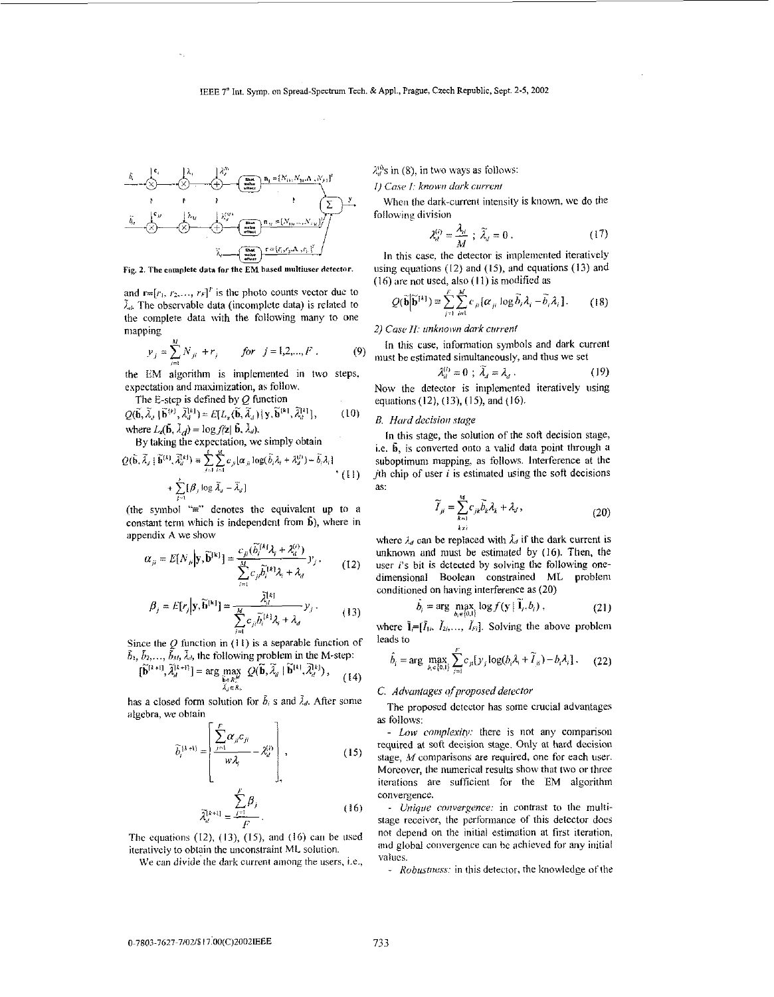## IEEE 7<sup>\*</sup> Int. Symp. on Spread-Spectrum Tech. & Appl., Prague, Czech Republic, Sept. 2-5, 2002



Fig. 2. The complete data for the EM based multiuser detector.

and  $\mathbf{r}=[r_1, r_2, ..., r_F]^T$  is the photo counts vector due to  $\tilde{\lambda}_d$ . The observable data (incomplete data) is related to the complete data with the following many to one mapping

$$
y_j = \sum_{j=1}^{M} N_{ji} + r_j
$$
 for  $j = 1, 2, ..., F$ . (9)

the EM algorithm is implemented in two steps, expectation and maximization, as follow.

The E-step is defined by  $Q$  function  $(10)$  $Q(\widetilde{\mathbf{b}}, \widetilde{\lambda}_d | \widetilde{\mathbf{b}}^{(k)}, \widetilde{\lambda}_d^{(k)}) = E[L_{\mathbf{z}}(\widetilde{\mathbf{b}}, \widetilde{\lambda}_d) | \mathbf{y}, \widetilde{\mathbf{b}}^{(k)}, \widetilde{\lambda}_d^{(k)}],$ where  $L_{\ell}(\vec{b}, \lambda_{d}) = \log f(\vec{z} | \vec{b}, \lambda_{d}).$ 

By taking the expectation, we simply obtain

$$
Q(\widetilde{\mathbf{b}}, \widetilde{\lambda}_j \mid \widetilde{\mathbf{b}}^{(k)}, \widetilde{\lambda}_d^{(k)}) = \sum_{j=1}^k \sum_{i=1}^M c_{ji} |\alpha_{ji}| \log(\widetilde{\delta}_i \lambda_i + \lambda_d^{(k)}) - \widetilde{\delta}_i \lambda_i|
$$
  
+ 
$$
\sum_{i=1}^j [\beta_j \log \widetilde{\lambda}_d - \widetilde{\lambda}_d]
$$
 (11)

(the symbol " $\equiv$ " denotes the equivalent up to a constant term which is independent from  $\hat{b}$ ), where in appendix A we show

$$
\alpha_{ji} = E[N_{ji}|\mathbf{y}, \widetilde{\mathbf{b}}^{\{\mathbf{k}\}}] = \frac{c_{ji}(\widetilde{b}_i^{[\mathbf{k}]} \lambda_i + \lambda_a^{(i)})}{\sum_{i=1}^N c_{ji} \widetilde{b}_i^{[\mathbf{k}]} \lambda_i + \lambda_a} y_j, \qquad (12)
$$

$$
\beta_j = E[r_j|\mathbf{y}, \widetilde{\mathbf{b}}^{[k]}] = \frac{\widetilde{\lambda}_d^{[k]}}{\sum_{i=1}^M c_{ji} \widetilde{b}_i^{[k]} \lambda_j + \lambda_d} y_j.
$$
 (13)

Since the  $Q$  function in (11) is a separable function of  $\tilde{b}_1, \tilde{b}_2, \ldots, \tilde{b}_M, \tilde{\lambda}_d$ , the following problem in the M-step:

$$
\{\widetilde{\mathbf{b}}^{[i+1]}, \widetilde{\lambda}_{d}^{[i+1]}\} = \arg\max_{\substack{\widetilde{\mathbf{b}} \in \mathbb{R}_{\infty}^{M} \\ \widetilde{\lambda}_{j} \in R_{\infty}}} Q(\widetilde{\mathbf{b}}, \widetilde{\lambda}_{d} \mid \widetilde{\mathbf{b}}^{[k]}, \widetilde{\lambda}_{d}^{[k]}), \quad (14)
$$

has a closed form solution for  $\tilde{b}_i$  s and  $\lambda_d$ . After some algebra, we obtain

$$
\widetilde{b}_{i}^{(\lambda+1)} = \begin{bmatrix} \sum_{j=1}^{F} \alpha_{ji} c_{ji} \\ \frac{\partial \widetilde{b}_{i}}{\partial t} & -\lambda_{il}^{(i)} \end{bmatrix}, \qquad (15)
$$

$$
\widetilde{\lambda}_{d}^{[k+1]} = \frac{\sum_{j=1}^{F} \beta_{j}}{F}.
$$
 (16)

The equations  $(12)$ ,  $(13)$ ,  $(15)$ , and  $(16)$  can be used iteratively to obtain the unconstraint ML solution.

We can divide the dark current among the users, i.e.,

 $\lambda_n^{(0)}$ s in (8), in two ways as follows:

1) Case 1: known dark current

When the dark-current intensity is known, we do the following division

$$
\lambda_d^{(i)} = \frac{\lambda_d}{M} \; ; \; \widetilde{\lambda}_d = 0 \; . \tag{17}
$$

In this case, the detector is implemented iteratively using equations  $(12)$  and  $(15)$ , and equations  $(13)$  and  $(16)$  are not used, also  $(11)$  is modified as

$$
Q(\widetilde{\mathbf{b}}|\widetilde{\mathbf{b}}^{[k]}) \equiv \sum_{j=1}^{F} \sum_{i=1}^{M} c_{ji} [\alpha_{ji} \log \widetilde{\delta}_{i} \lambda_{i} - \widetilde{\delta}_{i} \lambda_{i}]. \qquad (18)
$$

2) Case II: unknown dark current

In this case, information symbols and dark current must be estimated simultaneously, and thus we set

$$
\lambda_d^{(i)} = 0 \; ; \; \widetilde{\lambda}_d = \lambda_d \; . \tag{19}
$$

Now the detector is implemented iteratively using equations (12), (13), (15), and (16).

## B. Hard decision stage

In this stage, the solution of the soft decision stage, i.e. b, is converted onto a valid data point through a suboptimum mapping, as follows. Interference at the *i*th chip of user  $i$  is estimated using the soft decisions as:

$$
\widetilde{I}_{ji} = \sum_{k=1}^{M} c_{jk} \widetilde{b}_k \lambda_k + \lambda_j, \qquad (20)
$$

where  $\lambda_d$  can be replaced with  $\lambda_d$  if the dark current is unknown and must be estimated by (16). Then, the user  $i$ 's bit is detected by solving the following onedimensional Boolean constrained ML problem conditioned on having interference as (20)

$$
b_i = \arg\max_{h \in \{0\}} \log f(\mathbf{y} | \mathbf{1}_i, b_i) \tag{21}
$$

where  $\tilde{\mathbf{l}}=[\tilde{l}_{1i}, \tilde{l}_{2i}, \dots, \tilde{l}_{ri}].$  Solving the above problem leads to

$$
\hat{b}_i = \arg \max_{b_i \in [0,1]} \sum_{j=1}^F c_{ji} [y_j \log(b_i \lambda_i + \widetilde{I}_{ji}) - b_i \lambda_i]. \tag{22}
$$

#### C. Advantages of proposed detector

The proposed detector has some crucial advantages as follows:

- Low complexity: there is not any comparison required at soft decision stage. Only at hard decision stage, M comparisons are required, one for each user. Moreover, the numerical results show that two or three iterations are sufficient for the EM algorithm convergence.

- Unique convergence: in contrast to the multistage receiver, the performance of this detector does not depend on the initial estimation at first iteration, and global convergence can be achieved for any initial values.

- Robustness: in this detector, the knowledge of the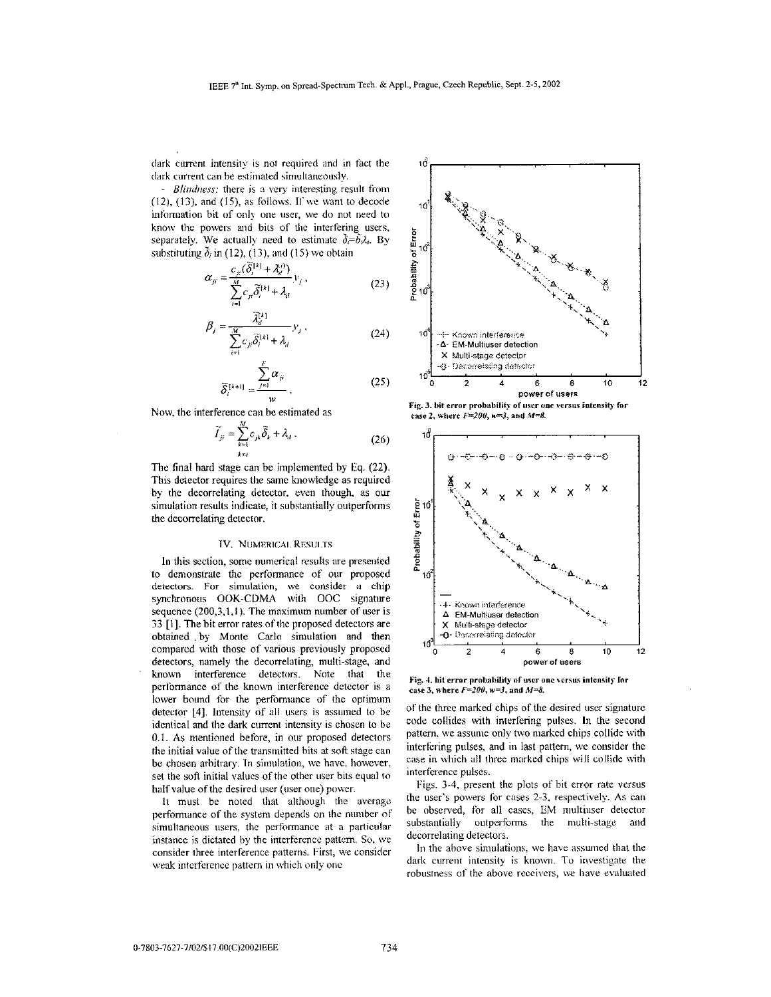**dark** current intensity is not required ancl in **fact** the dark current can be estimated simultaneously.

- *Bliridiress:* there is **n** *\,cy* interesting result from  $(12)$ ,  $(13)$ , and  $(15)$ , as follows. If we want to decode information bit of only one user, we do not need to know the powers and bits of the interfering users, separately. We actually need to estimate  $\delta = \delta \lambda_i$ . By substituting  $\delta_i$  in (12), (13), and (15) we obtain

$$
\alpha_{ji} = \frac{c_{ji}(\delta_i^{[k]} + \lambda_d^{(i)})}{\sum_{i=1}^M c_{ji} \widetilde{\delta}_i^{[k]} + \lambda_d} y_j,
$$
\n(23)

$$
\beta_j = \frac{\widetilde{\lambda}_d^{i+1}}{\sum_{i=1}^M c_{ji} \widetilde{\delta}_i^{i+1} + \lambda_d} y_j,
$$
\n(24)

$$
\widetilde{\delta}_i^{\{i+1\}} = \frac{\sum_{j=1}^n \alpha_{ji}}{w} \,. \tag{25}
$$

Now, the interference can be estimated as

$$
\widetilde{I}_{\mu} = \sum_{k=1}^{m} c_{jk} \widetilde{\delta}_k + \lambda_d \,. \tag{26}
$$

The final hard stage can be implemented by **Eq. (22).**  This detector requires the same knowledge as required hy the decorrelating detector; even though; as *our*  simulation results indicate, it substantially outperforms the decorrelating detector.

#### **1V. NIiMRRICAI. KESIJI :IS**

**In** this section, some numerical results are presented to demonstrate the performance of our proposed detectors. For simulation, we consider a chip synchronous OOK-CDMA with OOC signature sequence (200,3,1,1). The maximum number of user is **33** [1]. The bit error rates of the proposed detectors are obtained by Monte Carlo simulation and then compared with those of various previously proposed detectors, namely the decorrelating, multi-stage. and known interference detectors. Note that the performance of the known interference detector is a lower bound for the perforniance of the optimum detector  $[4]$ . Intensity of all users is assumed to be identical and the dark current intensity is chosen to **be**  0.1. **As** mentioned before, in our proposed detectors the initial value of the transmitted bits at soft stage can he chosen arbitrary. In simulation, **wc** havc. however. set the sofi initial values of the other user bits equal to half value of the desired user (user one) power.

It must be noted that although the average performance of the system depends on the number of simultaneous users, the performance at a particular instance is dictated by the interference pattern. So, we consider three interference patterns. First, we consider weak interference pattern in which only one



Fig. 3. bit error probability of user one versus intensity for case 2, where  $F=200$ ,  $w=3$ , and  $M=8$ .



Fig. 4, bit error probability of user one versus intensity for case 3, where  $F=200$ ,  $w=3$ , and  $M=8$ .

of the three marked chips of the desired user signature code collides with interfering pulses. In the second pattern, we assume only two marked chips collide with interfering pulses, and in **last** pattern, we consider the case in which all three marked chips will collide with interference pulses.

Figs. **3-4,** present the plots of bit error rate versus the user's powers for cases *2-3.* respectively. **As** can he observed, for all cases, EM multiuser detector substantially outperforms the multi-stage and decorrelating detectors.

In the above simulations, we have assumed that the dark current intensity is known. To investigate the robustness of the above receivers, we have evaluated